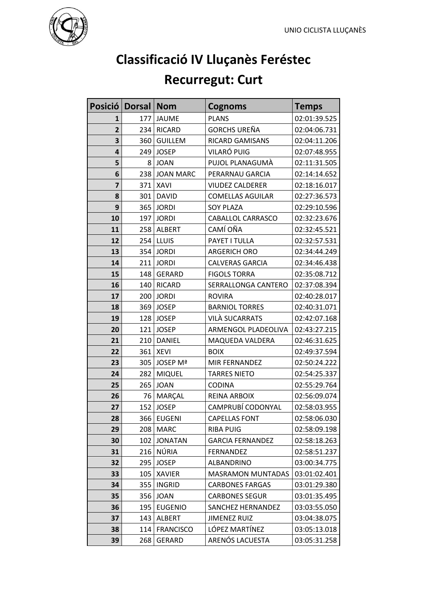

## **Classificació IV Lluçanès Feréstec**

## **Recurregut: Curt**

|                | Posició   Dorsal | <b>Nom</b>       | <b>Cognoms</b>           | <b>Temps</b> |
|----------------|------------------|------------------|--------------------------|--------------|
| 1              | 177              | <b>JAUME</b>     | <b>PLANS</b>             | 02:01:39.525 |
| $\overline{2}$ | 234              | <b>RICARD</b>    | <b>GORCHS UREÑA</b>      | 02:04:06.731 |
| 3              | 360              | <b>GUILLEM</b>   | <b>RICARD GAMISANS</b>   | 02:04:11.206 |
| 4              | 249              | <b>JOSEP</b>     | VILARÓ PUIG              | 02:07:48.955 |
| 5              | 8                | <b>JOAN</b>      | PUJOL PLANAGUMÀ          | 02:11:31.505 |
| 6              | 238              | <b>JOAN MARC</b> | PERARNAU GARCIA          | 02:14:14.652 |
| $\overline{7}$ | 371              | <b>XAVI</b>      | <b>VIUDEZ CALDERER</b>   | 02:18:16.017 |
| 8              | 301              | <b>DAVID</b>     | <b>COMELLAS AGUILAR</b>  | 02:27:36.573 |
| 9              | 365              | <b>JORDI</b>     | <b>SOY PLAZA</b>         | 02:29:10.596 |
| 10             | 197              | <b>JORDI</b>     | CABALLOL CARRASCO        | 02:32:23.676 |
| 11             | 258              | <b>ALBERT</b>    | CAMÍ OÑA                 | 02:32:45.521 |
| 12             | 254              | LLUIS            | PAYET I TULLA            | 02:32:57.531 |
| 13             | 354              | <b>JORDI</b>     | <b>ARGERICH ORO</b>      | 02:34:44.249 |
| 14             | 211              | <b>JORDI</b>     | <b>CALVERAS GARCIA</b>   | 02:34:46.438 |
| 15             | 148              | <b>GERARD</b>    | <b>FIGOLS TORRA</b>      | 02:35:08.712 |
| 16             | 140              | <b>RICARD</b>    | SERRALLONGA CANTERO      | 02:37:08.394 |
| 17             | 200              | <b>JORDI</b>     | <b>ROVIRA</b>            | 02:40:28.017 |
| 18             | 369              | <b>JOSEP</b>     | <b>BARNIOL TORRES</b>    | 02:40:31.071 |
| 19             | 128              | <b>JOSEP</b>     | <b>VILA SUCARRATS</b>    | 02:42:07.168 |
| 20             | 121              | <b>JOSEP</b>     | ARMENGOL PLADEOLIVA      | 02:43:27.215 |
| 21             | 210              | <b>DANIEL</b>    | MAQUEDA VALDERA          | 02:46:31.625 |
| 22             | 361              | <b>XEVI</b>      | <b>BOIX</b>              | 02:49:37.594 |
| 23             | 305              | JOSEP Mª         | MIR FERNANDEZ            | 02:50:24.222 |
| 24             | 282              | <b>MIQUEL</b>    | <b>TARRES NIETO</b>      | 02:54:25.337 |
| 25             | 265              | <b>JOAN</b>      | <b>CODINA</b>            | 02:55:29.764 |
| 26             | 76               | <b>MARÇAL</b>    | <b>REINA ARBOIX</b>      | 02:56:09.074 |
| 27             | 152              | <b>JOSEP</b>     | CAMPRUBÍ CODONYAL        | 02:58:03.955 |
| 28             | 366              | <b>EUGENI</b>    | <b>CAPELLAS FONT</b>     | 02:58:06.030 |
| 29             | 208              | <b>MARC</b>      | <b>RIBA PUIG</b>         | 02:58:09.198 |
| 30             | 102              | <b>JONATAN</b>   | <b>GARCIA FERNANDEZ</b>  | 02:58:18.263 |
| 31             | 216              | NÚRIA            | <b>FERNANDEZ</b>         | 02:58:51.237 |
| 32             | 295              | <b>JOSEP</b>     | ALBANDRINO               | 03:00:34.775 |
| 33             | 105              | <b>XAVIER</b>    | <b>MASRAMON MUNTADAS</b> | 03:01:02.401 |
| 34             | 355              | <b>INGRID</b>    | <b>CARBONES FARGAS</b>   | 03:01:29.380 |
| 35             | 356              | <b>JOAN</b>      | <b>CARBONES SEGUR</b>    | 03:01:35.495 |
| 36             | 195              | <b>EUGENIO</b>   | SANCHEZ HERNANDEZ        | 03:03:55.050 |
| 37             | 143              | <b>ALBERT</b>    | <b>JIMENEZ RUIZ</b>      | 03:04:38.075 |
| 38             | 114              | <b>FRANCISCO</b> | LÓPEZ MARTÍNEZ           | 03:05:13.018 |
| 39             | 268              | GERARD           | ARENÓS LACUESTA          | 03:05:31.258 |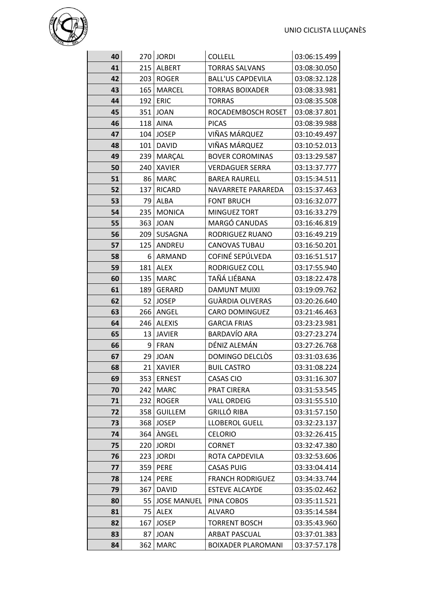

| 40 |     | 270 JORDI          | <b>COLLELL</b>            | 03:06:15.499 |
|----|-----|--------------------|---------------------------|--------------|
| 41 | 215 | ALBERT             | <b>TORRAS SALVANS</b>     | 03:08:30.050 |
| 42 | 203 | <b>ROGER</b>       | <b>BALL'US CAPDEVILA</b>  | 03:08:32.128 |
| 43 | 165 | <b>MARCEL</b>      | <b>TORRAS BOIXADER</b>    | 03:08:33.981 |
| 44 | 192 | <b>ERIC</b>        | <b>TORRAS</b>             | 03:08:35.508 |
| 45 | 351 | <b>JOAN</b>        | ROCADEMBOSCH ROSET        | 03:08:37.801 |
| 46 | 118 | <b>AINA</b>        | <b>PICAS</b>              | 03:08:39.988 |
| 47 | 104 | <b>JOSEP</b>       | VIÑAS MÁRQUEZ             | 03:10:49.497 |
| 48 | 101 | <b>DAVID</b>       | VIÑAS MÁRQUEZ             | 03:10:52.013 |
| 49 | 239 | MARÇAL             | <b>BOVER COROMINAS</b>    | 03:13:29.587 |
| 50 | 240 | <b>XAVIER</b>      | <b>VERDAGUER SERRA</b>    | 03:13:37.777 |
| 51 | 86  | <b>MARC</b>        | <b>BAREA RAURELL</b>      | 03:15:34.511 |
| 52 | 137 | <b>RICARD</b>      | NAVARRETE PARAREDA        | 03:15:37.463 |
| 53 | 79  | <b>ALBA</b>        | <b>FONT BRUCH</b>         | 03:16:32.077 |
| 54 | 235 | <b>MONICA</b>      | <b>MINGUEZ TORT</b>       | 03:16:33.279 |
| 55 | 363 | <b>JOAN</b>        | MARGÓ CANUDAS             | 03:16:46.819 |
| 56 | 209 | SUSAGNA            | RODRIGUEZ RUANO           | 03:16:49.219 |
| 57 | 125 | ANDREU             | <b>CANOVAS TUBAU</b>      | 03:16:50.201 |
| 58 | 6   | <b>ARMAND</b>      | COFINÉ SEPÚLVEDA          | 03:16:51.517 |
| 59 | 181 | <b>ALEX</b>        | RODRIGUEZ COLL            | 03:17:55.940 |
| 60 | 135 | <b>MARC</b>        | TAÑÁ LIÉBANA              | 03:18:22.478 |
| 61 | 189 | <b>GERARD</b>      | <b>DAMUNT MUIXI</b>       | 03:19:09.762 |
| 62 | 52  | <b>JOSEP</b>       | GUÀRDIA OLIVERAS          | 03:20:26.640 |
| 63 | 266 | ANGEL              | <b>CARO DOMINGUEZ</b>     | 03:21:46.463 |
| 64 | 246 | <b>ALEXIS</b>      | <b>GARCIA FRIAS</b>       | 03:23:23.981 |
| 65 | 13  | <b>JAVIER</b>      | <b>BARDAVÍO ARA</b>       | 03:27:23.274 |
| 66 | 9   | <b>FRAN</b>        | DÉNIZ ALEMÁN              | 03:27:26.768 |
| 67 | 29  | <b>JOAN</b>        | DOMINGO DELCLÒS           | 03:31:03.636 |
| 68 |     | 21 XAVIER          | <b>BUIL CASTRO</b>        | 03:31:08.224 |
| 69 | 353 | <b>ERNEST</b>      | CASAS CIO                 | 03:31:16.307 |
| 70 | 242 | <b>MARC</b>        | PRAT CIRERA               | 03:31:53.545 |
| 71 | 232 | <b>ROGER</b>       | <b>VALL ORDEIG</b>        | 03:31:55.510 |
| 72 | 358 | <b>GUILLEM</b>     | <b>GRILLÓ RIBA</b>        | 03:31:57.150 |
| 73 | 368 | <b>JOSEP</b>       | <b>LLOBEROL GUELL</b>     | 03:32:23.137 |
| 74 | 364 | ÀNGEL              | <b>CELORIO</b>            | 03:32:26.415 |
| 75 | 220 | <b>JORDI</b>       | <b>CORNET</b>             | 03:32:47.380 |
| 76 | 223 | <b>JORDI</b>       | ROTA CAPDEVILA            | 03:32:53.606 |
| 77 | 359 | <b>PERE</b>        | <b>CASAS PUIG</b>         | 03:33:04.414 |
| 78 | 124 | <b>PERE</b>        | <b>FRANCH RODRIGUEZ</b>   | 03:34:33.744 |
| 79 | 367 | <b>DAVID</b>       | <b>ESTEVE ALCAYDE</b>     | 03:35:02.462 |
| 80 | 55  | <b>JOSE MANUEL</b> | PINA COBOS                | 03:35:11.521 |
| 81 | 75  | <b>ALEX</b>        | <b>ALVARO</b>             | 03:35:14.584 |
| 82 | 167 | <b>JOSEP</b>       | <b>TORRENT BOSCH</b>      | 03:35:43.960 |
| 83 | 87  | <b>JOAN</b>        | <b>ARBAT PASCUAL</b>      | 03:37:01.383 |
| 84 | 362 | <b>MARC</b>        | <b>BOIXADER PLAROMANI</b> | 03:37:57.178 |